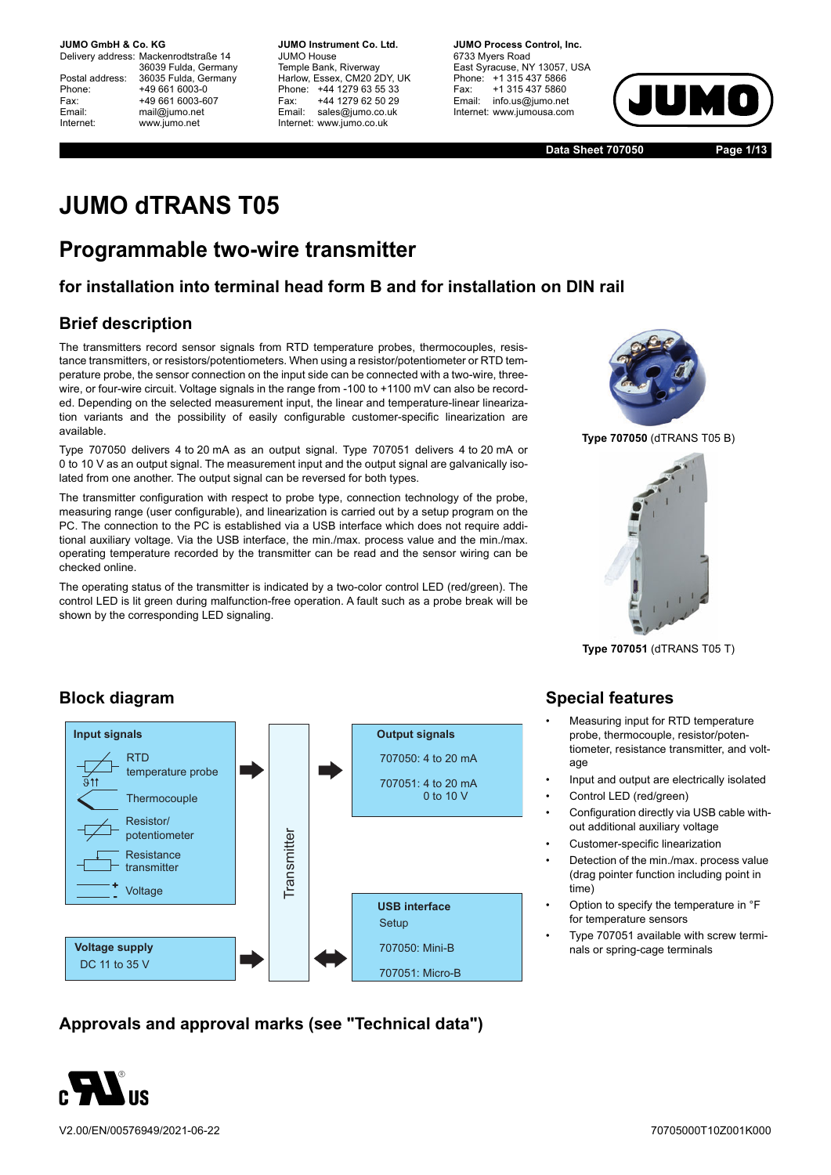Delivery address: Mackenrodtstraße 14 36039 Fulda, Germany Postal address: 36035 Fulda, Germany<br>Phone: +49 661 6003-0 Phone: +49 661 6003-0<br>Fax: +49 661 6003-6 Fax: +49 661 6003-607<br>
Fmail: mail@iumo.net mail@iumo.net Internet: www.jumo.net

**-BUMO Instrument Co. Ltd.** JUMO House Temple Bank, Riverway Harlow, Essex, CM20 2DY, UK Phone: +44 1279 63 55 33<br>Fax: +44 1279 62 50 29 Fax: +44 1279 62 50 29<br>Email: sales@iumo.co.uk sales@jumo.co.uk Internet: www.jumo.co.uk

**-BURG Process Control Inc.** 6733 Myers Road East Syracuse, NY 13057, USA Phone: +1 315 437 5866<br>Fax: +1 315 437 5860 Fax: +1 315 437 5860<br>Email: info.us@jumo.net info.us@jumo.net Internet: www.iumousa.com



**Data Sheet 707050 Page 1/13**

# **JUMO dTRANS T05**

# **Programmable two-wire transmitter**

### **for installation into terminal head form B and for installation on DIN rail**

### **Brief description**

The transmitters record sensor signals from RTD temperature probes, thermocouples, resistance transmitters, or resistors/potentiometers. When using a resistor/potentiometer or RTD temperature probe, the sensor connection on the input side can be connected with a two-wire, threewire, or four-wire circuit. Voltage signals in the range from -100 to +1100 mV can also be recorded. Depending on the selected measurement input, the linear and temperature-linear linearization variants and the possibility of easily configurable customer-specific linearization are available.

Type 707050 delivers 4 to 20 mA as an output signal. Type 707051 delivers 4 to 20 mA or 0 to 10 V as an output signal. The measurement input and the output signal are galvanically isolated from one another. The output signal can be reversed for both types.

The transmitter configuration with respect to probe type, connection technology of the probe, measuring range (user configurable), and linearization is carried out by a setup program on the PC. The connection to the PC is established via a USB interface which does not require additional auxiliary voltage. Via the USB interface, the min./max. process value and the min./max. operating temperature recorded by the transmitter can be read and the sensor wiring can be checked online.

The operating status of the transmitter is indicated by a two-color control LED (red/green). The control LED is lit green during malfunction-free operation. A fault such as a probe break will be shown by the corresponding LED signaling.



**Type 707050** (dTRANS T05 B)



**Type 707051** (dTRANS T05 T)

### **Block diagram**



**Approvals and approval marks (see "Technical data")**



V2.00/EN/00576949/2021-06-22

### **Special features**

- Measuring input for RTD temperature probe, thermocouple, resistor/potentiometer, resistance transmitter, and voltage
- Input and output are electrically isolated
- Control LED (red/green)
- Configuration directly via USB cable without additional auxiliary voltage
- Customer-specific linearization
- Detection of the min./max. process value (drag pointer function including point in time)
- Option to specify the temperature in °F for temperature sensors
- Type 707051 available with screw terminals or spring-cage terminals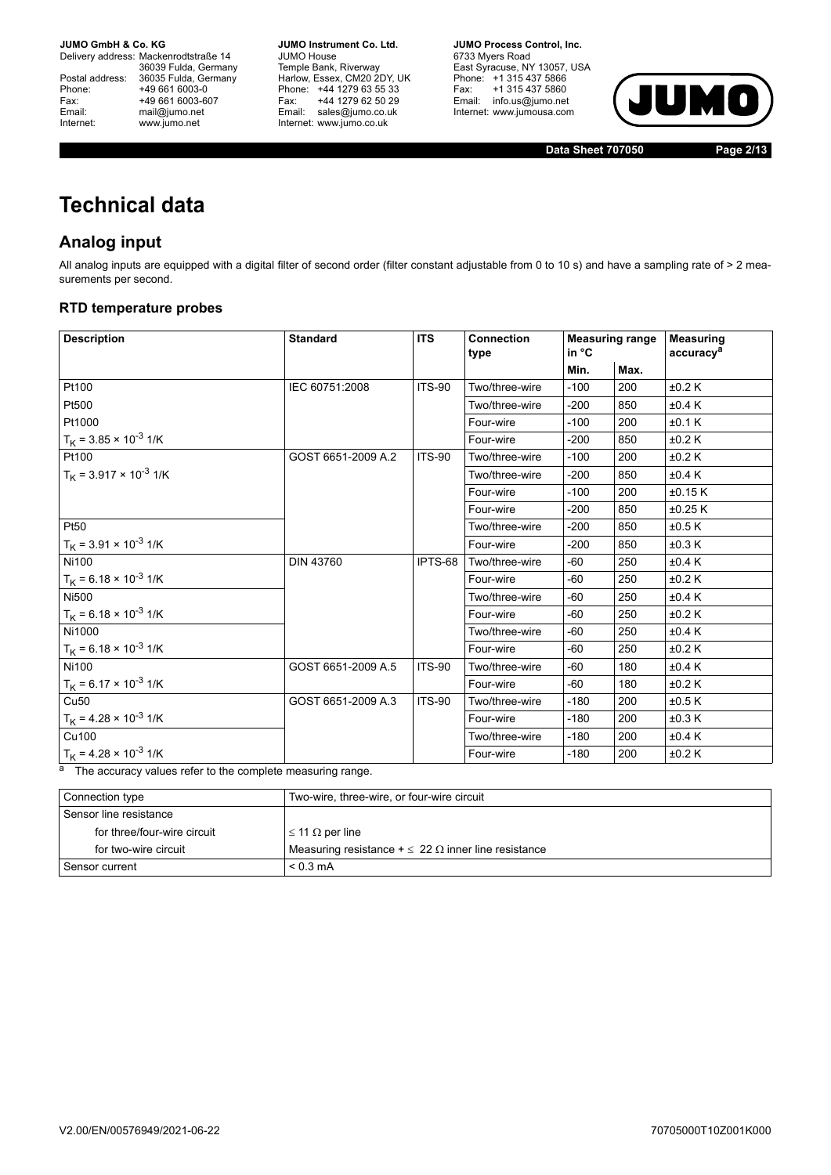Delivery address: Mackenrodtstraße 14 36039 Fulda, Germany<br>Postal address: 36035 Fulda, Germany Phone: +49 661 6003-0<br>
Fax: +49 661 6003-6<br>
Email: mail@jumo.net +49 661 6003-607 mail@jumo.net Internet: www.jumo.net

**JUMO Instrument Co. Ltd.** JUMO House Temple Bank, Riverway<br>Harlow, Essex, CM20 2DY, UK Phone: +44 1279 63 55 33<br>Fax: +44 1279 62 50 29 +44 1279 62 50 29 Email: sales@jumo.co.uk Internet: www.jumo.co.uk

**JUMO Process Control, Inc.** 6733 Myers Road East Syracuse, NY 13057, USA Phone: +1 315 437 5866<br>Fax: +1 315 437 5860 Email: info.us@jumo.net Internet: www.jumousa.com



**Data Sheet 707050 Page 2/13**

# **Technical data**

### **Analog input**

All analog inputs are equipped with a digital filter of second order (filter constant adjustable from 0 to 10 s) and have a sampling rate of > 2 measurements per second.

#### **RTD temperature probes**

| <b>Description</b>                   | <b>Standard</b>    | <b>ITS</b>    | <b>Connection</b><br>type | <b>Measuring range</b><br>in °C |      | <b>Measuring</b><br>accuracy <sup>a</sup> |
|--------------------------------------|--------------------|---------------|---------------------------|---------------------------------|------|-------------------------------------------|
|                                      |                    |               |                           | Min.                            | Max. |                                           |
| Pt100                                | IEC 60751:2008     | <b>ITS-90</b> | Two/three-wire            | $-100$                          | 200  | ±0.2 K                                    |
| Pt500                                |                    |               | Two/three-wire            | $-200$                          | 850  | ±0.4K                                     |
| Pt1000                               |                    |               | Four-wire                 | $-100$                          | 200  | ±0.1 K                                    |
| $T_K$ = 3.85 × 10 <sup>-3</sup> 1/K  |                    |               | Four-wire                 | $-200$                          | 850  | ±0.2 K                                    |
| Pt100                                | GOST 6651-2009 A.2 | <b>ITS-90</b> | Two/three-wire            | $-100$                          | 200  | ±0.2 K                                    |
| $T_K$ = 3.917 × 10 <sup>-3</sup> 1/K |                    |               | Two/three-wire            | $-200$                          | 850  | ±0.4K                                     |
|                                      |                    |               | Four-wire                 | $-100$                          | 200  | ±0.15K                                    |
|                                      |                    |               | Four-wire                 | $-200$                          | 850  | $\pm 0.25$ K                              |
| Pt50                                 |                    |               | Two/three-wire            | $-200$                          | 850  | ±0.5K                                     |
| $T_K$ = 3.91 × 10 <sup>-3</sup> 1/K  |                    |               | Four-wire                 | $-200$                          | 850  | ±0.3K                                     |
| <b>Ni100</b>                         | <b>DIN 43760</b>   | IPTS-68       | Two/three-wire            | $-60$                           | 250  | ±0.4K                                     |
| $T_K$ = 6.18 × 10 <sup>-3</sup> 1/K  |                    |               | Four-wire                 | -60                             | 250  | ±0.2 K                                    |
| <b>Ni500</b>                         |                    |               | Two/three-wire            | $-60$                           | 250  | ±0.4K                                     |
| $T_K$ = 6.18 × 10 <sup>-3</sup> 1/K  |                    |               | Four-wire                 | $-60$                           | 250  | ±0.2 K                                    |
| Ni1000                               |                    |               | Two/three-wire            | $-60$                           | 250  | ±0.4K                                     |
| $T_K$ = 6.18 × 10 <sup>-3</sup> 1/K  |                    |               | Four-wire                 | $-60$                           | 250  | ±0.2 K                                    |
| <b>Ni100</b>                         | GOST 6651-2009 A.5 | <b>ITS-90</b> | Two/three-wire            | $-60$                           | 180  | ±0.4 K                                    |
| $T_K$ = 6.17 × 10 <sup>-3</sup> 1/K  |                    |               | Four-wire                 | $-60$                           | 180  | ±0.2 K                                    |
| Cu <sub>50</sub>                     | GOST 6651-2009 A.3 | <b>ITS-90</b> | Two/three-wire            | $-180$                          | 200  | ±0.5K                                     |
| $T_K$ = 4.28 × 10 <sup>-3</sup> 1/K  |                    |               | Four-wire                 | $-180$                          | 200  | ±0.3K                                     |
| Cu100                                |                    |               | Two/three-wire            | $-180$                          | 200  | ±0.4 K                                    |
| $T_K$ = 4.28 × 10 <sup>-3</sup> 1/K  |                    |               | Four-wire                 | $-180$                          | 200  | ±0.2 K                                    |

 $\overline{a}$  The accuracy values refer to the complete measuring range.

| Connection type             | Two-wire, three-wire, or four-wire circuit                   |
|-----------------------------|--------------------------------------------------------------|
| Sensor line resistance      |                                                              |
| for three/four-wire circuit | $\vert$ ≤ 11 Ω per line                                      |
| for two-wire circuit        | Measuring resistance $+\leq 22 \Omega$ inner line resistance |
| l Sensor current            | $< 0.3 \text{ mA}$                                           |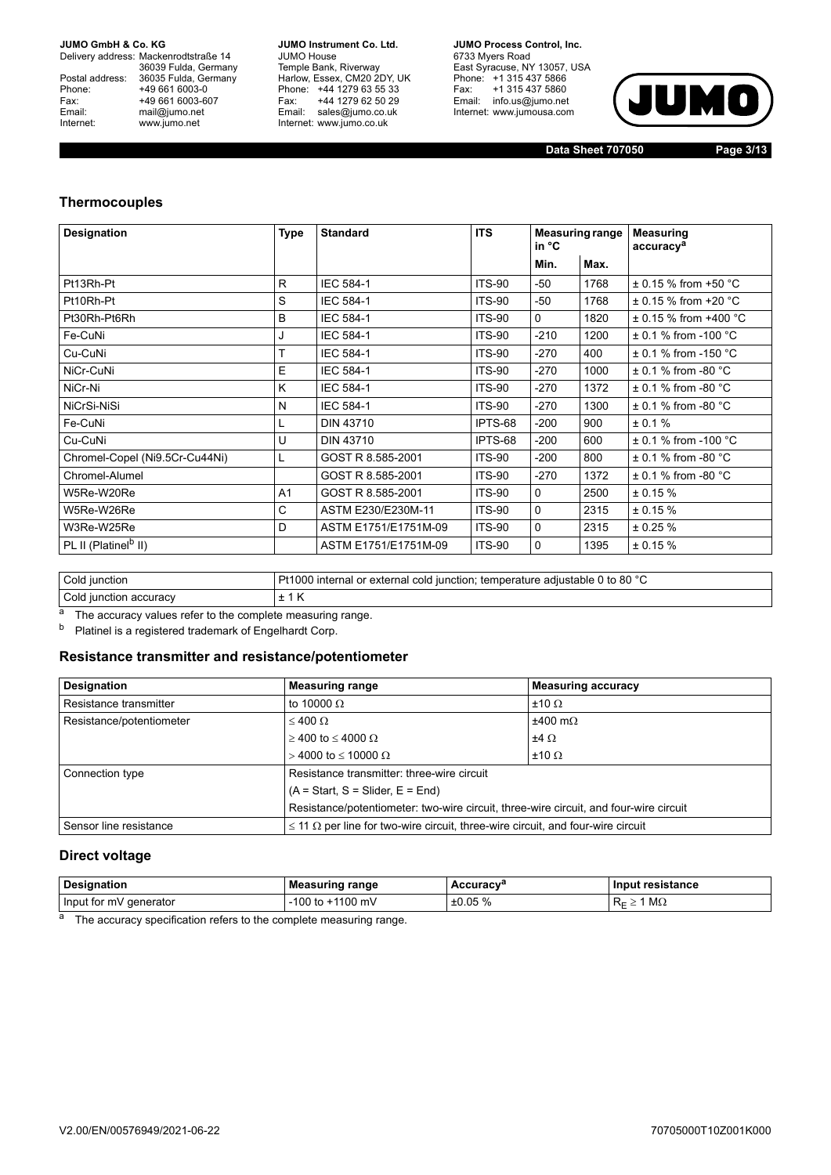Delivery address: Mackenrodtstraße 14 36039 Fulda, Germany<br>Postal address: 36035 Fulda, Germany Phone: +49 661 6003-0<br>
Fax: +49 661 6003-6<br>
Email: mail@jumo.net +49 661 6003-607 mail@jumo.net Internet: www.jumo.net

**JUMO Instrument Co. Ltd.** JUMO House Temple Bank, Riverway<br>Harlow, Essex, CM20 2DY, UK Phone: +44 1279 63 55 33<br>Fax: +44 1279 62 50 29 +44 1279 62 50 29 Fax. THE IZIS OF DOILD<br>Email: sales@jumo.co.uk Internet: www.jumo.co.uk

**JUMO Process Control, Inc.** 6733 Myers Road East Syracuse, NY 13057, USA<br>Phone: +1 315 437 5866<br>Fax: +1 315 437 5860 Email: info.us@jumo.net Internet: www.jumousa.com



**Data Sheet 707050 Page 3/13**

#### **Thermocouples**

| Designation                      | <b>Type</b>    | <b>Standard</b>      | <b>ITS</b>    | <b>Measuring range</b><br>in °C |      | <b>Measuring</b><br>accuracy <sup>a</sup> |
|----------------------------------|----------------|----------------------|---------------|---------------------------------|------|-------------------------------------------|
|                                  |                |                      |               | Min.                            | Max. |                                           |
| Pt13Rh-Pt                        | R              | IEC 584-1            | <b>ITS-90</b> | -50                             | 1768 | $\pm$ 0.15 % from +50 °C                  |
| Pt10Rh-Pt                        | S              | <b>IEC 584-1</b>     | <b>ITS-90</b> | -50                             | 1768 | $\pm$ 0.15 % from +20 °C                  |
| Pt30Rh-Pt6Rh                     | B              | <b>IEC 584-1</b>     | <b>ITS-90</b> | $\mathbf 0$                     | 1820 | $\pm$ 0.15 % from +400 °C                 |
| Fe-CuNi                          | J              | <b>IEC 584-1</b>     | <b>ITS-90</b> | $-210$                          | 1200 | $\pm$ 0.1 % from -100 °C                  |
| Cu-CuNi                          | T              | <b>IEC 584-1</b>     | <b>ITS-90</b> | $-270$                          | 400  | $\pm$ 0.1 % from -150 °C                  |
| NiCr-CuNi                        | E              | <b>IEC 584-1</b>     | <b>ITS-90</b> | -270                            | 1000 | $\pm$ 0.1 % from -80 °C                   |
| NiCr-Ni                          | K              | <b>IEC 584-1</b>     | <b>ITS-90</b> | $-270$                          | 1372 | $\pm$ 0.1 % from -80 °C                   |
| NiCrSi-NiSi                      | N              | <b>IEC 584-1</b>     | <b>ITS-90</b> | -270                            | 1300 | $\pm$ 0.1 % from -80 °C                   |
| Fe-CuNi                          |                | <b>DIN 43710</b>     | IPTS-68       | $-200$                          | 900  | ± 0.1 %                                   |
| Cu-CuNi                          | U              | <b>DIN 43710</b>     | IPTS-68       | $-200$                          | 600  | $\pm$ 0.1 % from -100 °C                  |
| Chromel-Copel (Ni9.5Cr-Cu44Ni)   | L              | GOST R 8.585-2001    | <b>ITS-90</b> | $-200$                          | 800  | $\pm$ 0.1 % from -80 °C                   |
| Chromel-Alumel                   |                | GOST R 8.585-2001    | <b>ITS-90</b> | $-270$                          | 1372 | $\pm$ 0.1 % from -80 °C                   |
| W5Re-W20Re                       | A <sub>1</sub> | GOST R 8.585-2001    | <b>ITS-90</b> | $\mathbf 0$                     | 2500 | ± 0.15%                                   |
| W5Re-W26Re                       | C              | ASTM E230/E230M-11   | <b>ITS-90</b> | $\mathbf 0$                     | 2315 | ± 0.15%                                   |
| W3Re-W25Re                       | D              | ASTM E1751/E1751M-09 | <b>ITS-90</b> | $\mathbf 0$                     | 2315 | ± 0.25%                                   |
| PL II (Platinel <sup>b</sup> II) |                | ASTM E1751/E1751M-09 | <b>ITS-90</b> | $\mathbf 0$                     | 1395 | ± 0.15%                                   |

| Cold iunction          | Pt1000 internal or external cold junction: temperature adjustable 0 to 80 °C |  |
|------------------------|------------------------------------------------------------------------------|--|
| Cold junction accuracy | .                                                                            |  |

<sup>a</sup> The accuracy values refer to the complete measuring range.<br><sup>b</sup> Platinel is a registered trademark of Engelhardt Corp

Platinel is a registered trademark of Engelhardt Corp.

#### **Resistance transmitter and resistance/potentiometer**

| <b>Designation</b>       | <b>Measuring range</b>                                                                      | <b>Measuring accuracy</b> |  |
|--------------------------|---------------------------------------------------------------------------------------------|---------------------------|--|
| Resistance transmitter   | to 10000 $\Omega$                                                                           | $±10 \Omega$              |  |
| Resistance/potentiometer | $\leq 400 \Omega$                                                                           | $±400$ m $\Omega$         |  |
|                          | $≥$ 400 to ≤ 4000 Ω                                                                         | $±4$ Ω                    |  |
|                          | $>$ 4000 to < 10000 $\Omega$                                                                | $±10$ $\Omega$            |  |
| Connection type          | Resistance transmitter: three-wire circuit                                                  |                           |  |
|                          | $(A = Start, S = Slider, E = End)$                                                          |                           |  |
|                          | Resistance/potentiometer: two-wire circuit, three-wire circuit, and four-wire circuit       |                           |  |
| Sensor line resistance   | $\leq$ 11 $\Omega$ per line for two-wire circuit, three-wire circuit, and four-wire circuit |                           |  |

#### **Direct voltage**

| <b>Designation</b>     | Measuring range  | Accuracvª | Input resistance       |
|------------------------|------------------|-----------|------------------------|
| Input for mV generator | -100 to +1100 mV | ±0.05%    | $M\Omega$<br>n<br>к∈ ∠ |

a The accuracy specification refers to the complete measuring range.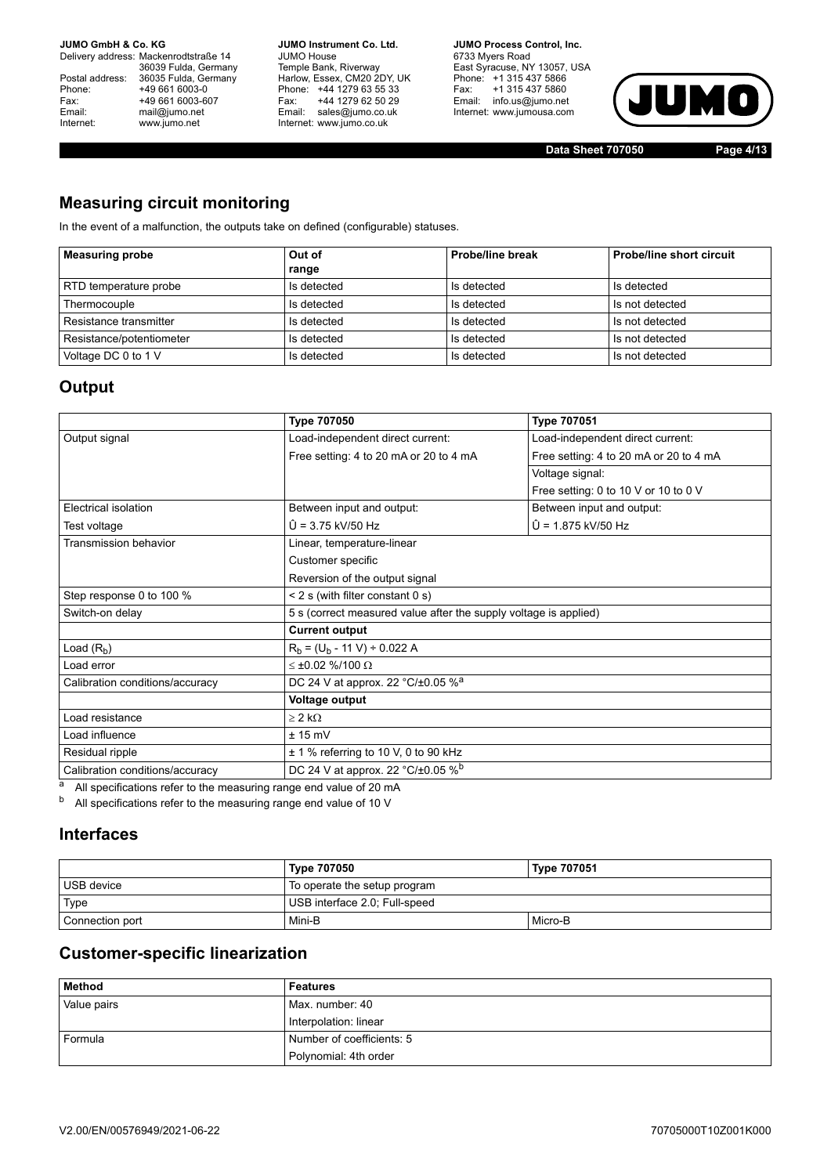Delivery address: Mackenrodtstraße 14 36039 Fulda, Germany<br>Postal address: 36035 Fulda, Germany Phone: +49 661 6003-0<br>
Fax: +49 661 6003-6<br>
Email: mail@jumo.net +49 661 6003-607 mail@jumo.net Internet: www.jumo.net

**JUMO Instrument Co. Ltd.** JUMO House Temple Bank, Riverway<br>Harlow, Essex, CM20 2DY, UK Phone: +44 1279 63 55 33<br>Fax: +44 1279 62 50 29 Fax: +44 1279 62 50 29<br>Email: sales@jumo.co.uk Internet: www.jumo.co.uk

**JUMO Process Control, Inc.** 6733 Myers Road East Syracuse, NY 13057, USA Phone: +1 315 437 5866<br>Fax: +1 315 437 5860 Email: info.us@jumo.net Internet: www.jumousa.com



**Data Sheet 707050 Page 4/13**

### **Measuring circuit monitoring**

In the event of a malfunction, the outputs take on defined (configurable) statuses.

| <b>Measuring probe</b>   | Out of      | Probe/line break | <b>Probe/line short circuit</b> |
|--------------------------|-------------|------------------|---------------------------------|
|                          | range       |                  |                                 |
| RTD temperature probe    | Is detected | Is detected      | Is detected                     |
| Thermocouple             | Is detected | Is detected      | Is not detected                 |
| Resistance transmitter   | Is detected | Is detected      | Is not detected                 |
| Resistance/potentiometer | Is detected | Is detected      | Is not detected                 |
| Voltage DC 0 to 1 V      | Is detected | Is detected      | Is not detected                 |

### **Output**

|                                 | <b>Type 707050</b>                                               | <b>Type 707051</b>                     |  |
|---------------------------------|------------------------------------------------------------------|----------------------------------------|--|
| Output signal                   | Load-independent direct current:                                 | Load-independent direct current:       |  |
|                                 | Free setting: 4 to 20 mA or 20 to 4 mA                           | Free setting: 4 to 20 mA or 20 to 4 mA |  |
|                                 |                                                                  | Voltage signal:                        |  |
|                                 |                                                                  | Free setting: 0 to 10 V or 10 to 0 V   |  |
| Electrical isolation            | Between input and output:                                        | Between input and output:              |  |
| Test voltage                    | $\hat{U}$ = 3.75 kV/50 Hz                                        | $\hat{U}$ = 1.875 kV/50 Hz             |  |
| <b>Transmission behavior</b>    | Linear, temperature-linear                                       |                                        |  |
|                                 | Customer specific                                                |                                        |  |
|                                 | Reversion of the output signal                                   |                                        |  |
| Step response 0 to 100 %        | $<$ 2 s (with filter constant 0 s)                               |                                        |  |
| Switch-on delay                 | 5 s (correct measured value after the supply voltage is applied) |                                        |  |
|                                 | <b>Current output</b>                                            |                                        |  |
| Load $(R_b)$                    | $R_h = (U_h - 11 V) \div 0.022 A$                                |                                        |  |
| Load error                      | $\leq \pm 0.02$ %/100 $\Omega$                                   |                                        |  |
| Calibration conditions/accuracy | DC 24 V at approx. 22 $°C/t0.05$ % <sup>a</sup>                  |                                        |  |
|                                 | Voltage output                                                   |                                        |  |
| Load resistance                 | $> 2$ kΩ                                                         |                                        |  |
| Load influence                  | $± 15$ mV                                                        |                                        |  |
| Residual ripple                 | $\pm$ 1 % referring to 10 V, 0 to 90 kHz                         |                                        |  |
| Calibration conditions/accuracy | DC 24 V at approx. 22 °C/±0.05 % <sup>b</sup>                    |                                        |  |

 $a$  All specifications refer to the measuring range end value of 20 mA

 $b$  All specifications refer to the measuring range end value of 10 V

### **Interfaces**

|                 | Type 707050                   | <b>Type 707051</b> |  |
|-----------------|-------------------------------|--------------------|--|
| USB device      | To operate the setup program  |                    |  |
| Type            | USB interface 2.0; Full-speed |                    |  |
| Connection port | Mini-B                        | Micro-B            |  |

### **Customer-specific linearization**

| <b>Method</b> | Features                  |
|---------------|---------------------------|
| Value pairs   | Max. number: 40           |
|               | Interpolation: linear     |
| Formula       | Number of coefficients: 5 |
|               | Polynomial: 4th order     |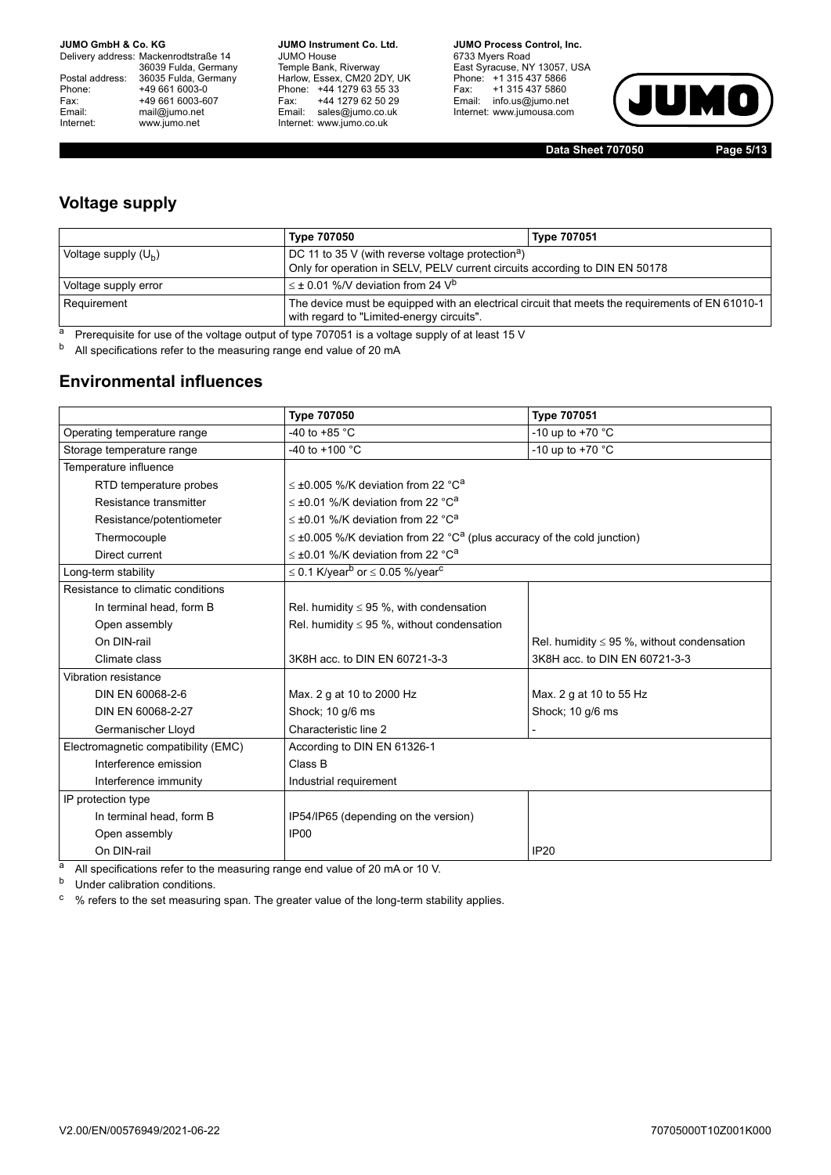Delivery address: Mackenrodtstraße 14 36039 Fulda, Germany<br>Postal address: 36035 Fulda, Germany Phone: +49 661 6003-0<br>
Fax: +49 661 6003-6<br>
Email: mail@jumo.net +49 661 6003-607 mail@jumo.net Internet: www.jumo.net

**JUMO Instrument Co. Ltd.** JUMO House Temple Bank, Riverway<br>Harlow, Essex, CM20 2DY, UK Phone: +44 1279 63 55 33<br>Fax: +44 1279 62 50 29 +44 1279 62 50 29 Email: sales@jumo.co.uk Internet: www.jumo.co.uk

**JUMO Process Control, Inc.** 6733 Myers Road East Syracuse, NY 13057, USA Phone: +1 315 437 5866<br>Fax: +1 315 437 5860 Email: info.us@jumo.net Internet: www.jumousa.com



**Data Sheet 707050 Page 5/13**

### **Voltage supply**

|                        | Type 707050                                                                                                                                   | <b>Type 707051</b> |
|------------------------|-----------------------------------------------------------------------------------------------------------------------------------------------|--------------------|
| Voltage supply $(U_h)$ | DC 11 to 35 V (with reverse voltage protection <sup>a</sup> )<br>Only for operation in SELV, PELV current circuits according to DIN EN 50178  |                    |
| Voltage supply error   | $\leq$ ± 0.01 %/V deviation from 24 V <sup>b</sup>                                                                                            |                    |
| Requirement            | The device must be equipped with an electrical circuit that meets the requirements of EN 61010-1<br>with regard to "Limited-energy circuits". |                    |

<sup>a</sup> Prerequisite for use of the voltage output of type 707051 is a voltage supply of at least 15 V

b All specifications refer to the measuring range end value of 20 mA

### **Environmental influences**

|                                     | <b>Type 707050</b>                                                                          | <b>Type 707051</b>                              |
|-------------------------------------|---------------------------------------------------------------------------------------------|-------------------------------------------------|
| Operating temperature range         | -40 to +85 $^{\circ}$ C                                                                     | -10 up to +70 $^{\circ}$ C                      |
| Storage temperature range           | -40 to $+100$ °C                                                                            | -10 up to +70 °C                                |
| Temperature influence               |                                                                                             |                                                 |
| RTD temperature probes              | $\leq$ ±0.005 %/K deviation from 22 °C <sup>a</sup>                                         |                                                 |
| Resistance transmitter              | $\leq$ ±0.01 %/K deviation from 22 °C <sup>a</sup>                                          |                                                 |
| Resistance/potentiometer            | $\leq$ ±0.01 %/K deviation from 22 °C <sup>a</sup>                                          |                                                 |
| Thermocouple                        | $\leq \pm 0.005$ %/K deviation from 22 °C <sup>a</sup> (plus accuracy of the cold junction) |                                                 |
| Direct current                      | $\leq$ ±0.01 %/K deviation from 22 °C <sup>a</sup>                                          |                                                 |
| Long-term stability                 | $\leq$ 0.1 K/year <sup>b</sup> or $\leq$ 0.05 %/year <sup>c</sup>                           |                                                 |
| Resistance to climatic conditions   |                                                                                             |                                                 |
| In terminal head, form B            | Rel. humidity $\leq$ 95 %, with condensation                                                |                                                 |
| Open assembly                       | Rel. humidity $\leq$ 95 %, without condensation                                             |                                                 |
| On DIN-rail                         |                                                                                             | Rel. humidity $\leq$ 95 %, without condensation |
| Climate class                       | 3K8H acc. to DIN EN 60721-3-3                                                               | 3K8H acc. to DIN EN 60721-3-3                   |
| Vibration resistance                |                                                                                             |                                                 |
| DIN EN 60068-2-6                    | Max. 2 g at 10 to 2000 Hz                                                                   | Max. 2 g at 10 to 55 Hz                         |
| DIN EN 60068-2-27                   | Shock; 10 g/6 ms                                                                            | Shock; 10 g/6 ms                                |
| Germanischer Lloyd                  | Characteristic line 2                                                                       |                                                 |
| Electromagnetic compatibility (EMC) | According to DIN EN 61326-1                                                                 |                                                 |
| Interference emission               | Class B                                                                                     |                                                 |
| Interference immunity               | Industrial requirement                                                                      |                                                 |
| IP protection type                  |                                                                                             |                                                 |
| In terminal head, form B            | IP54/IP65 (depending on the version)                                                        |                                                 |
| Open assembly                       | IP <sub>00</sub>                                                                            |                                                 |
| On DIN-rail                         |                                                                                             | <b>IP20</b>                                     |

<sup>a</sup> All specifications refer to the measuring range end value of 20 mA or 10 V.

**b** Under calibration conditions.

<sup>c</sup> % refers to the set measuring span. The greater value of the long-term stability applies.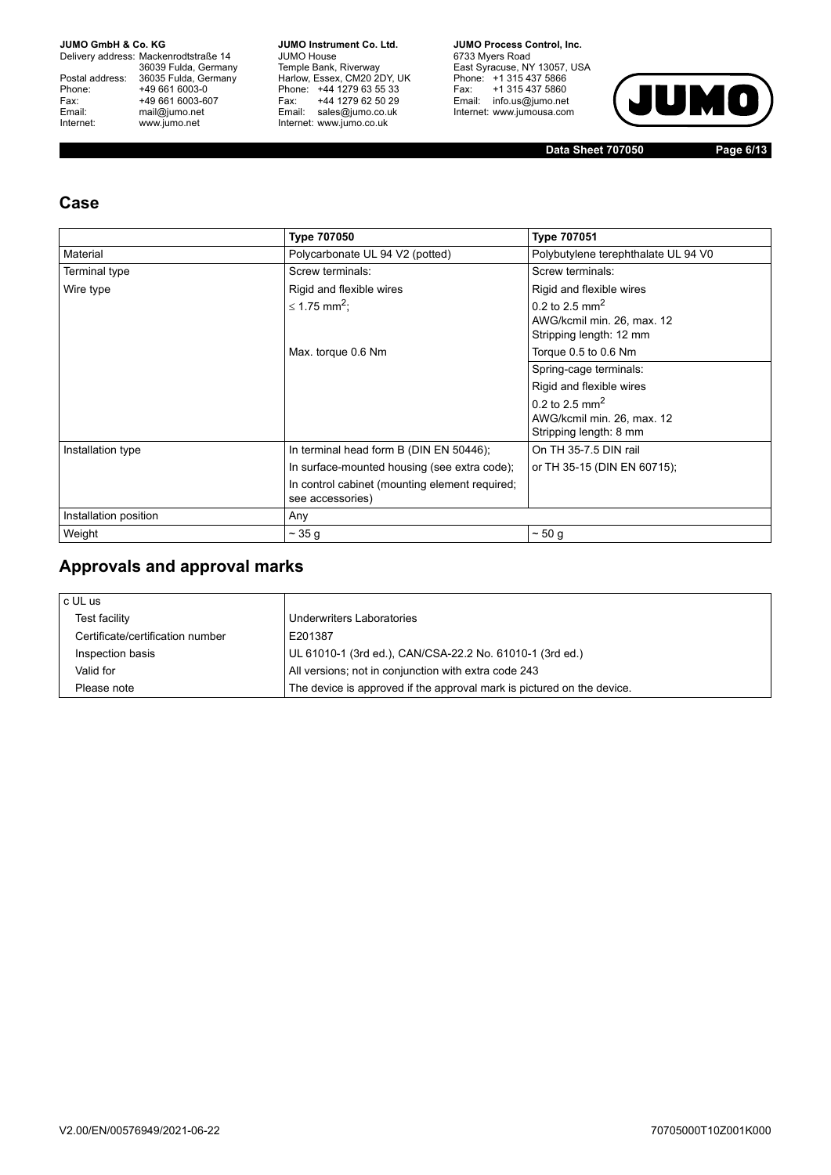Delivery address: Mackenrodtstraße 14 36039 Fulda, Germany<br>Postal address: 36035 Fulda, Germany Phone: +49 661 6003-0<br>
Fax: +49 661 6003-6<br>
Email: mail@jumo.net +49 661 6003-607 Email: mail@jumo.net<br>Internet: www.iumo.net www.jumo.net

**JUMO Instrument Co. Ltd.** JUMO House Temple Bank, Riverway<br>Harlow, Essex, CM20 2DY, UK<br>Phone: +44 1279 63 55 33 Fax: +44 1279 62 50 29<br>Email: sales@jumo.co.uk Internet: www.jumo.co.uk

**JUMO Process Control. Inc.** 6733 Myers Road East Syracuse, NY 13057, USA<br>Phone: +1 315 437 5866<br>Fax: +1 315 437 5860 Email: info.us@jumo.net Internet: www.jumousa.com



**Data Sheet 707050 Page 6/13**

### **Case**

|                       | <b>Type 707050</b>                                                 | <b>Type 707051</b>                                                                  |
|-----------------------|--------------------------------------------------------------------|-------------------------------------------------------------------------------------|
| Material              | Polycarbonate UL 94 V2 (potted)                                    | Polybutylene terephthalate UL 94 V0                                                 |
| <b>Terminal type</b>  | Screw terminals:                                                   | Screw terminals:                                                                    |
| Wire type             | Rigid and flexible wires                                           | Rigid and flexible wires                                                            |
|                       | ≤ 1.75 mm <sup>2</sup> :                                           | 0.2 to 2.5 mm <sup>2</sup><br>AWG/kcmil min. 26, max. 12<br>Stripping length: 12 mm |
|                       | Max. torque 0.6 Nm                                                 | Torque 0.5 to 0.6 Nm                                                                |
|                       |                                                                    | Spring-cage terminals:                                                              |
|                       |                                                                    | Rigid and flexible wires                                                            |
|                       |                                                                    | 0.2 to 2.5 mm <sup>2</sup><br>AWG/kcmil min. 26, max. 12<br>Stripping length: 8 mm  |
| Installation type     | In terminal head form B (DIN EN 50446);                            | On TH 35-7.5 DIN rail                                                               |
|                       | In surface-mounted housing (see extra code);                       | or TH 35-15 (DIN EN 60715);                                                         |
|                       | In control cabinet (mounting element required;<br>see accessories) |                                                                                     |
| Installation position | Any                                                                |                                                                                     |
| Weight                | $\sim$ 35 g                                                        | ~50q                                                                                |

### **Approvals and approval marks**

| c UL us                          |                                                                        |
|----------------------------------|------------------------------------------------------------------------|
| Test facility                    | Underwriters Laboratories                                              |
| Certificate/certification number | E201387                                                                |
| Inspection basis                 | UL 61010-1 (3rd ed.), CAN/CSA-22.2 No. 61010-1 (3rd ed.)               |
| Valid for                        | All versions; not in conjunction with extra code 243                   |
| Please note                      | The device is approved if the approval mark is pictured on the device. |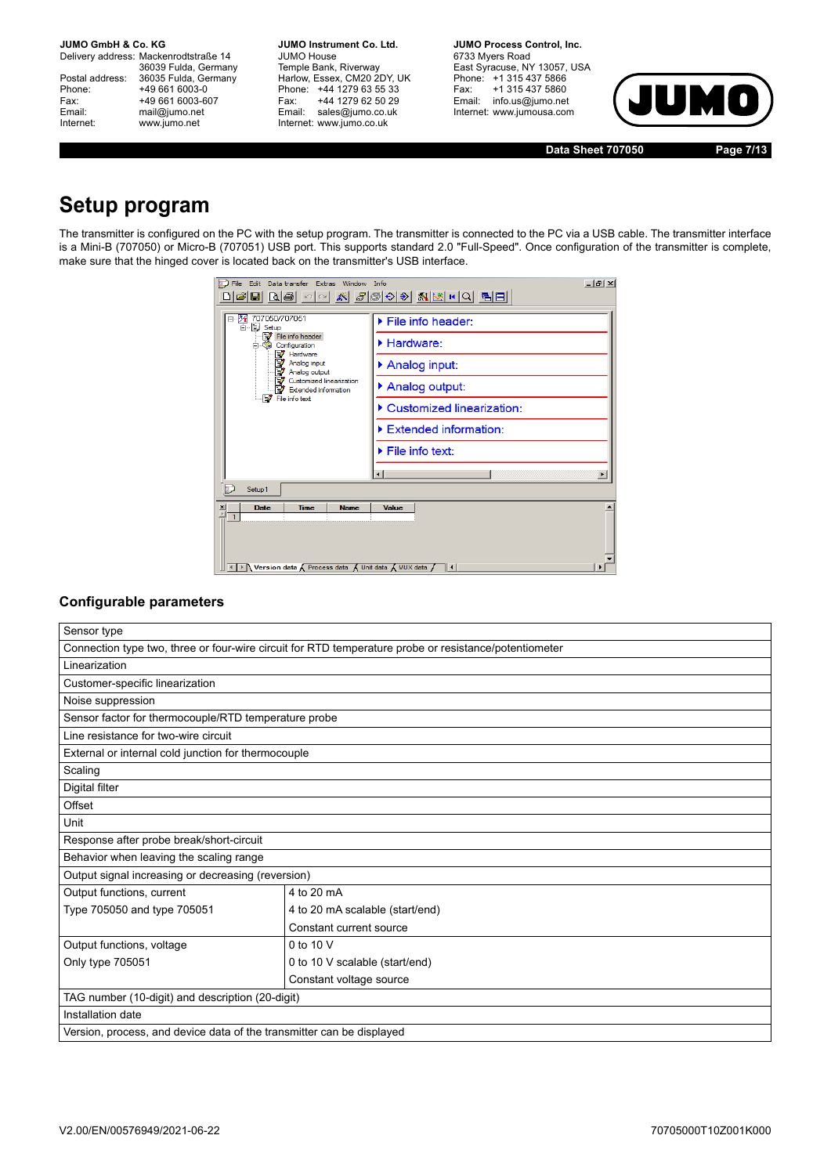Delivery address: Mackenrodtstraße 14 36039 Fulda, Germany<br>Postal address: 36035 Fulda, Germany Phone: +49 661 6003-0<br>
Fax: +49 661 6003-6<br>
Email: mail@jumo.net +49 661 6003-607 mail@jumo.net Internet: www.jumo.net

**JUMO Instrument Co. Ltd.** JUMO House Temple Bank, Riverway<br>Harlow, Essex, CM20 2DY, UK Phone: +44 1279 63 55 33<br>Fax: +44 1279 62 50 29 +44 1279 62 50 29 Email: sales@jumo.co.uk Internet: www.jumo.co.uk

**JUMO Process Control, Inc.** 6733 Myers Road East Syracuse, NY 13057, USA Phone: +1 315 437 5866<br>Fax: +1 315 437 5860 (Pax: +13154375860<br>Email: info.us@jumo.net Internet: www.jumousa.com



**Data Sheet 707050 Page 7/13**

# **Setup program**

The transmitter is configured on the PC with the setup program. The transmitter is connected to the PC via a USB cable. The transmitter interface is a Mini-B (707050) or Micro-B (707051) USB port. This supports standard 2.0 "Full-Speed". Once configuration of the transmitter is complete, make sure that the hinged cover is located back on the transmitter's USB interface.

| Edit Data transfer Extras Window Info<br>File<br>미여日 B ⑤  이어 W  @ ⓒ ⊙ ◈  @ M K  이 립日 <br>707050/707051<br>E-E Setup<br>File info header<br>Configuration<br>Hardware<br>V<br>Analog input<br>Analog output<br>Customized linearization<br>Ð,<br><b>Extended information</b><br>File info text | $- B $ $\times$<br>$\blacktriangleright$ File info header:<br>Hardware:<br>Analog input:<br>Analog output:<br>Customized linearization:<br>Extended information:<br>$\blacktriangleright$ File info text: |
|-----------------------------------------------------------------------------------------------------------------------------------------------------------------------------------------------------------------------------------------------------------------------------------------------|-----------------------------------------------------------------------------------------------------------------------------------------------------------------------------------------------------------|
| Setup <sub>1</sub>                                                                                                                                                                                                                                                                            |                                                                                                                                                                                                           |
| <b>Time</b><br><b>Name</b><br>$\frac{\mathbf{x}}{\ \mathbf{x}\ }$<br><b>Date</b><br>◀ ▶ Nersion data K Process data K Unit data K MUX data /                                                                                                                                                  | Value<br>∥∢                                                                                                                                                                                               |

### **Configurable parameters**

| Sensor type                                                                                           |                                 |  |  |
|-------------------------------------------------------------------------------------------------------|---------------------------------|--|--|
| Connection type two, three or four-wire circuit for RTD temperature probe or resistance/potentiometer |                                 |  |  |
| Linearization                                                                                         |                                 |  |  |
| Customer-specific linearization                                                                       |                                 |  |  |
| Noise suppression                                                                                     |                                 |  |  |
| Sensor factor for thermocouple/RTD temperature probe                                                  |                                 |  |  |
| Line resistance for two-wire circuit                                                                  |                                 |  |  |
| External or internal cold junction for thermocouple                                                   |                                 |  |  |
| Scaling                                                                                               |                                 |  |  |
| Digital filter                                                                                        |                                 |  |  |
| Offset                                                                                                |                                 |  |  |
| Unit                                                                                                  |                                 |  |  |
| Response after probe break/short-circuit                                                              |                                 |  |  |
| Behavior when leaving the scaling range                                                               |                                 |  |  |
| Output signal increasing or decreasing (reversion)                                                    |                                 |  |  |
| Output functions, current                                                                             | 4 to 20 mA                      |  |  |
| Type 705050 and type 705051                                                                           | 4 to 20 mA scalable (start/end) |  |  |
|                                                                                                       | Constant current source         |  |  |
| Output functions, voltage                                                                             | 0 to 10 V                       |  |  |
| Only type 705051                                                                                      | 0 to 10 V scalable (start/end)  |  |  |
|                                                                                                       | Constant voltage source         |  |  |
| TAG number (10-digit) and description (20-digit)                                                      |                                 |  |  |
| Installation date                                                                                     |                                 |  |  |
| Version, process, and device data of the transmitter can be displayed                                 |                                 |  |  |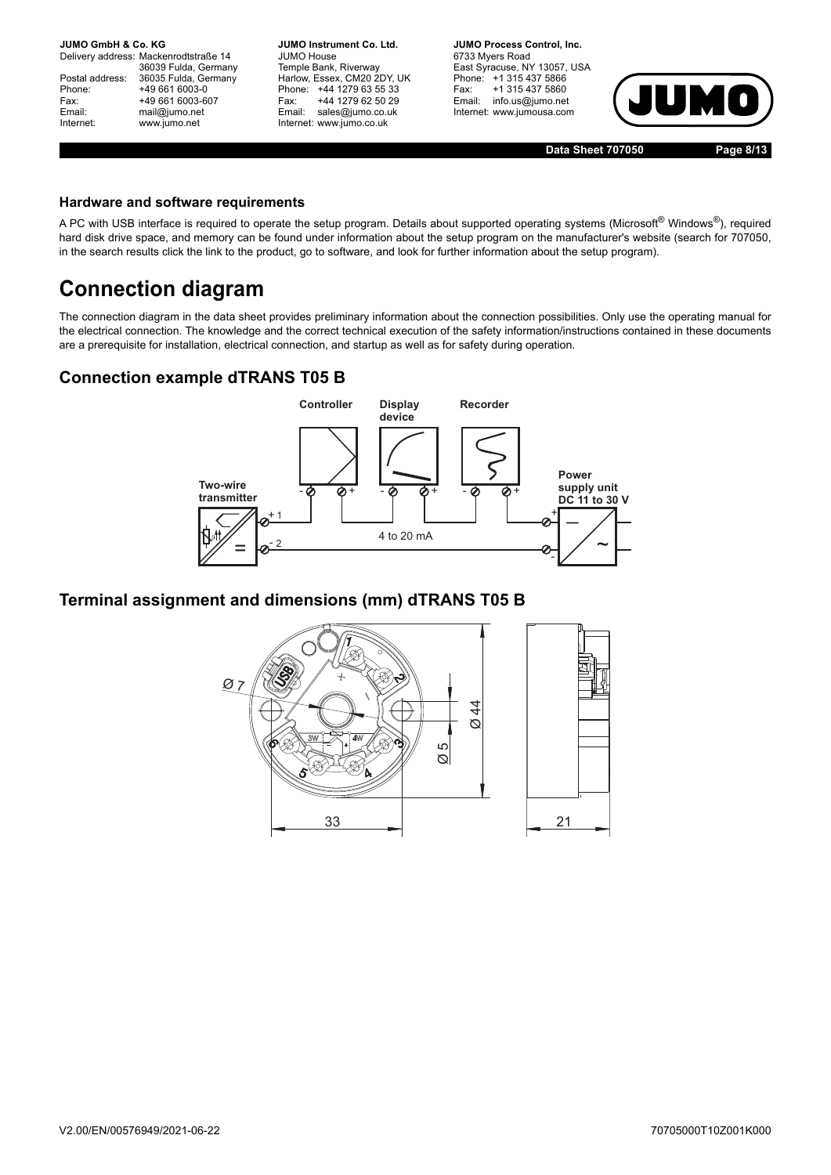Delivery address: Mackenrodtstraße 14 36039 Fulda, Germany Postal address: 36035 Fulda, Germany<br>Phone: +49 661 6003-0 Phone: +49 661 6003-0<br>Fax: +49 661 6003-6 Fax: +49 661 6003-607<br>
Fmail: mail@iumo.net mail@jumo.net Internet: www.jumo.net

**JUMO Instrument Co. Ltd.** JUMO House Temple Bank, Riverway Harlow, Essex, CM20 2DY, UK Phone: +44 1279 63 55 33<br>Fax: +44 1279 62 50 29 Fax: +44 1279 62 50 29<br>Email: sales@iumo.co.uk sales@jumo.co.uk Internet: www.jumo.co.uk

**JUMO Process Control, Inc.** 6733 Myers Road East Syracuse, NY 13057, USA Phone: +1 315 437 5866<br>Fax: +1 315 437 5860 Fax: +1 315 437 5860<br>Email: info.us@jumo.net info.us@jumo.net Internet: www.jumousa.com



**Data Sheet 707050 Page 8/13**

#### **Hardware and software requirements**

A PC with USB interface is required to operate the setup program. Details about supported operating systems (Microsoft® Windows®), required hard disk drive space, and memory can be found under information about the setup program on the manufacturer's website (search for 707050, in the search results click the link to the product, go to software, and look for further information about the setup program).

# **Connection diagram**

The connection diagram in the data sheet provides preliminary information about the connection possibilities. Only use the operating manual for the electrical connection. The knowledge and the correct technical execution of the safety information/instructions contained in these documents are a prerequisite for installation, electrical connection, and startup as well as for safety during operation.

### **Connection example dTRANS T05 B**



### **Terminal assignment and dimensions (mm) dTRANS T05 B**

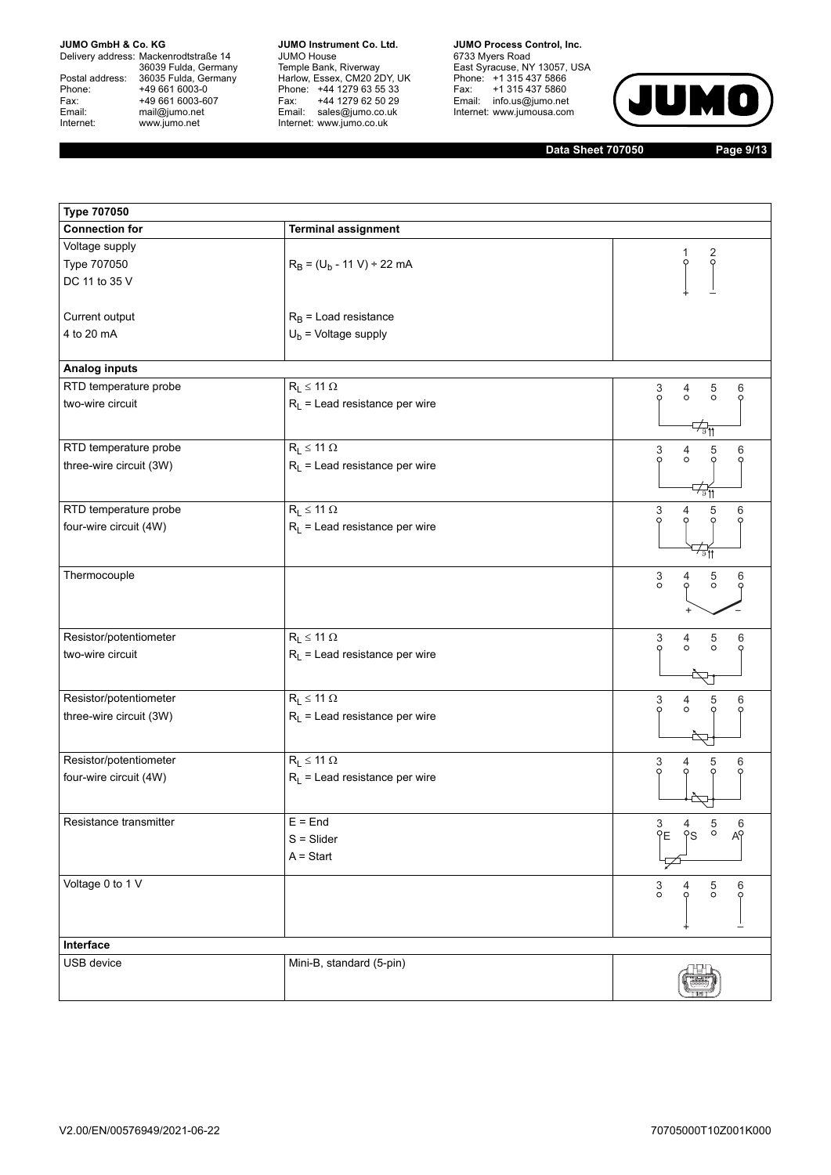Delivery address: Mackenrodtstraße 14 36039 Fulda, Germany<br>Postal address: 36035 Fulda, Germany Phone: +49 661 6003-0<br>
Fax: +49 661 6003-6<br>
Email: mail@jumo.net +49 661 6003-607 Email: mail@jumo.net<br>Internet: www.jumo.net www.jumo.net

**JUMO Instrument Co. Ltd.** JUMO House Temple Bank, Riverway<br>Harlow, Essex, CM20 2DY, UK<br>Phone: +44 1279 63 55 33 Fax: +44 1279 62 50 29<br>Email: sales@jumo.co.uk Internet: www.jumo.co.uk

**JUMO Process Control, Inc.** 6733 Myers Road East Syracuse, NY 13057, USA<br>Phone: +1 315 437 5866<br>Fax: +1 315 437 5860 Email: info.us@jumo.net Internet: www.jumousa.com



**Data Sheet 707050 Page 9/13**

| <b>Type 707050</b>      |                                  |                                                        |  |
|-------------------------|----------------------------------|--------------------------------------------------------|--|
| <b>Connection for</b>   | <b>Terminal assignment</b>       |                                                        |  |
| Voltage supply          |                                  |                                                        |  |
| Type 707050             | $R_B = (U_b - 11 V) \div 22 mA$  | $\frac{2}{9}$<br>$\circ$                               |  |
| DC 11 to 35 V           |                                  |                                                        |  |
|                         |                                  |                                                        |  |
| Current output          | $R_B$ = Load resistance          |                                                        |  |
| 4 to 20 mA              | $U_b$ = Voltage supply           |                                                        |  |
|                         |                                  |                                                        |  |
| Analog inputs           |                                  |                                                        |  |
| RTD temperature probe   | $R_L \leq 11 \Omega$             | 3<br>$\frac{5}{0}$<br>4<br>6                           |  |
| two-wire circuit        | $R_L$ = Lead resistance per wire | O<br>$\circ$<br>O                                      |  |
|                         |                                  | क्तूम                                                  |  |
| RTD temperature probe   | $R_L \leq 11 \Omega$             | 3<br>5<br>6<br>$\frac{4}{\circ}$                       |  |
| three-wire circuit (3W) | $R_L$ = Lead resistance per wire | $\circ$                                                |  |
|                         |                                  | ⊄ङ्ग                                                   |  |
| RTD temperature probe   | $R_L \leq 11 \Omega$             | 3<br>5<br>6<br>4                                       |  |
| four-wire circuit (4W)  | $R_L$ = Lead resistance per wire | O                                                      |  |
|                         |                                  |                                                        |  |
| Thermocouple            |                                  | 6<br>4                                                 |  |
|                         |                                  | $\frac{3}{\circ}$<br>$\frac{5}{0}$                     |  |
|                         |                                  |                                                        |  |
| Resistor/potentiometer  | $R_L \leq 11 \Omega$             | 4<br>6                                                 |  |
| two-wire circuit        | $R_L$ = Lead resistance per wire | 5<br>3<br>$\circ$<br>$\circ$<br>$\circ$                |  |
|                         |                                  |                                                        |  |
|                         |                                  | $\overline{\nabla}$                                    |  |
| Resistor/potentiometer  | $R_L \leq 11 \Omega$             | 3<br>5<br>$\frac{4}{\circ}$<br>6<br>$\circ$<br>$\circ$ |  |
| three-wire circuit (3W) | $R_L$ = Lead resistance per wire |                                                        |  |
|                         |                                  |                                                        |  |
| Resistor/potentiometer  | $R_L \leq 11 \Omega$             | 3<br>5<br>4<br>6                                       |  |
| four-wire circuit (4W)  | $R_L$ = Lead resistance per wire | Q                                                      |  |
|                         |                                  |                                                        |  |
| Resistance transmitter  | $E =$ End                        | $\frac{5}{\circ}$<br>3<br>YE<br>$\frac{6}{49}$<br>4    |  |
|                         | $S = S$ lider                    | <sup>o</sup> s                                         |  |
|                         | $A = Start$                      |                                                        |  |
| Voltage 0 to 1 V        |                                  | $_{\circ}^3$<br>$\frac{5}{0}$<br>6                     |  |
|                         |                                  | Ò                                                      |  |
|                         |                                  |                                                        |  |
| Interface               |                                  |                                                        |  |
| USB device              | Mini-B, standard (5-pin)         |                                                        |  |
|                         |                                  |                                                        |  |
|                         |                                  |                                                        |  |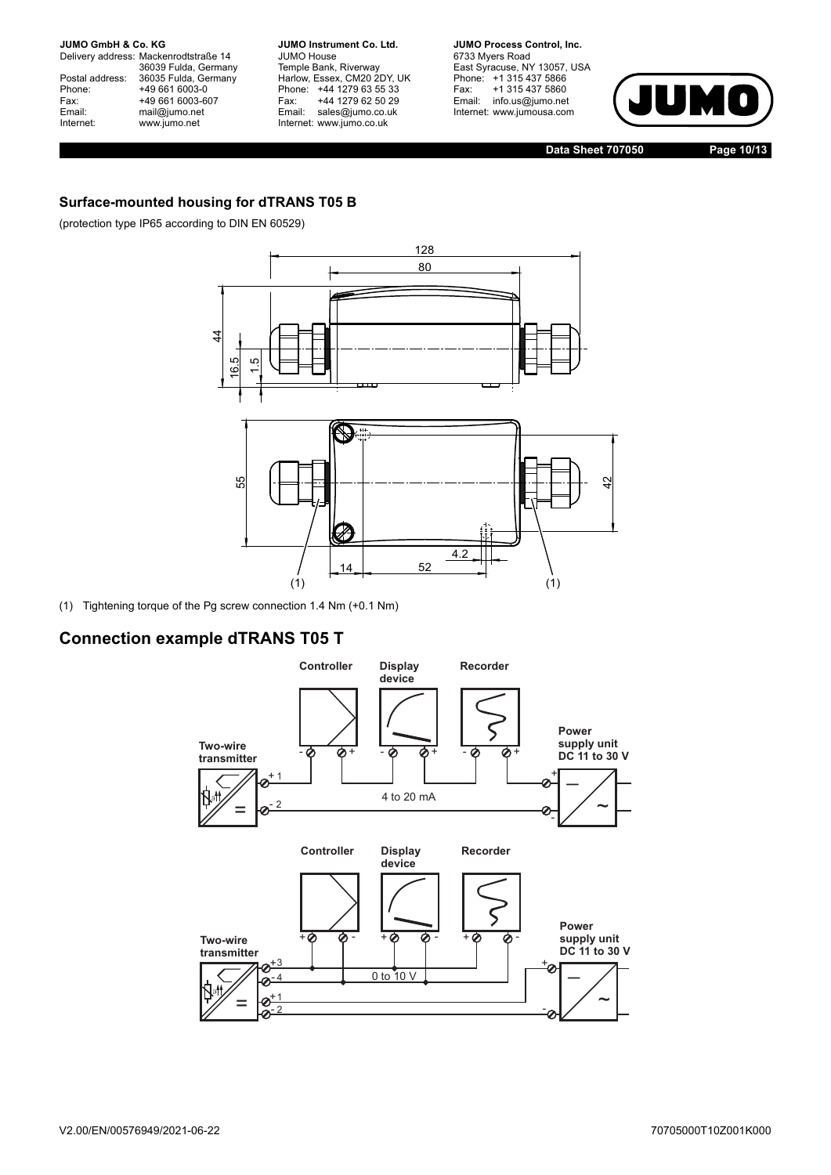Delivery address: Mackenrodtstraße 14 36039 Fulda, Germany<br>Postal address: 36035 Fulda, Germany Phone: +49 661 6003-0<br>Fax: +49 661 6003-6 Fax: +49 661 6003-607<br>
Email: mail@jumo.net mail@jumo.net Internet: www.jumo.net

**JUMO Instrument Co. Ltd.** JUMO House Temple Bank, Riverway<br>Harlow, Essex, CM20 2DY, UK Phone: +44 1279 63 55 33<br>Fax: +44 1279 62 50 29 +44 1279 62 50 29 Email: sales@jumo.co.uk Internet: www.jumo.co.uk

**JUMO Process Control, Inc.** 6733 Myers Road East Syracuse, NY 13057, USA Phone: +1 315 437 5866<br>Fax: +1 315 437 5860 Fax: +1 315 437 5860<br>Email: info.us@jumo.net info.us@jumo.net Internet: www.jumousa.com



**Data Sheet 707050 Page 10/13**

### **Surface-mounted housing for dTRANS T05 B**

(protection type IP65 according to DIN EN 60529)



(1) Tightening torque of the Pg screw connection 1.4 Nm (+0.1 Nm)

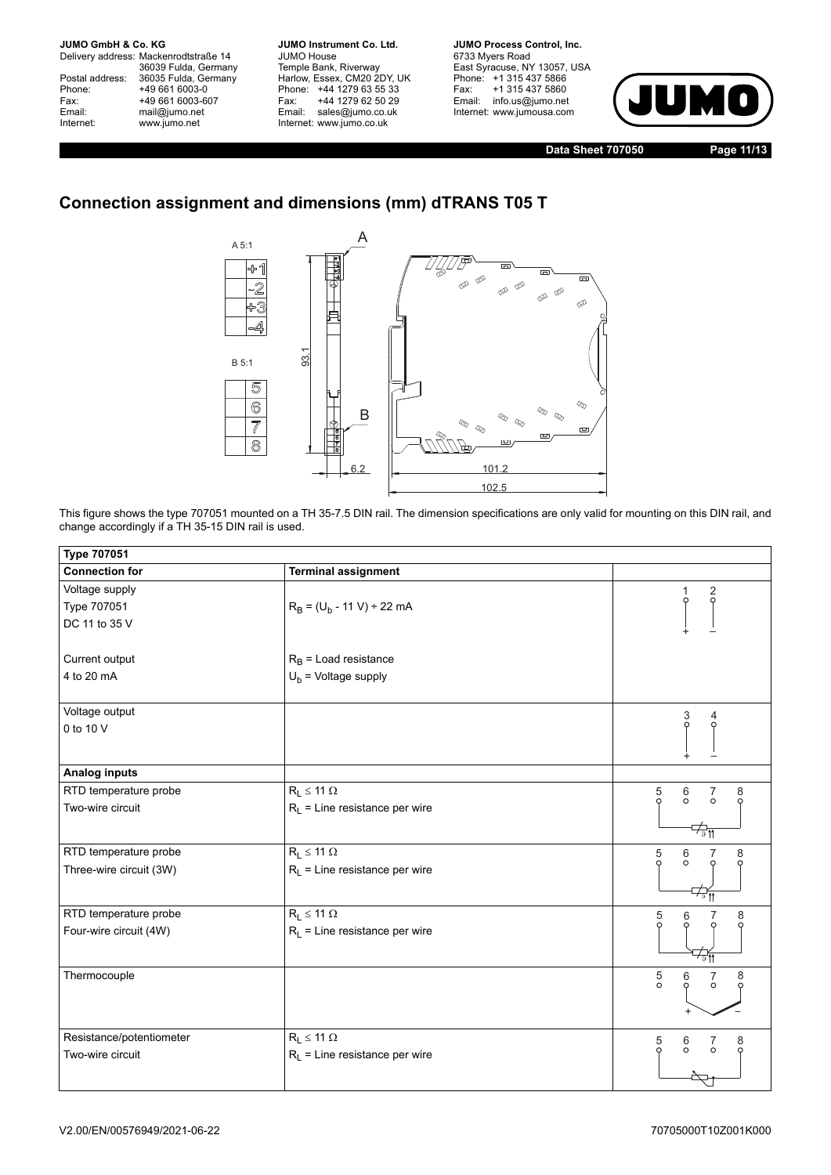Delivery address: Mackenrodtstraße 14 36039 Fulda, Germany<br>Postal address: 36035 Fulda, Germany Phone: +49 661 6003-0<br>
Fax: +49 661 6003-6<br>
Email: mail@jumo.net +49 661 6003-607 mail@jumo.net Internet: www.jumo.net

**JUMO Instrument Co. Ltd.** JUMO House Temple Bank, Riverway<br>Harlow, Essex, CM20 2DY, UK Phone: +44 1279 63 55 33<br>Fax: +44 1279 62 50 29 +44 1279 62 50 29 Email: sales@jumo.co.uk Internet: www.jumo.co.uk

**JUMO Process Control, Inc.** 6733 Myers Road East Syracuse, NY 13057, USA Phone: +1 315 437 5866<br>Fax: +1 315 437 5860 +1 315 437 5860 Email: info.us@jumo.net Internet: www.jumousa.com



**Data Sheet 707050 Page 11/13**

## **Connection assignment and dimensions (mm) dTRANS T05 T**



This figure shows the type 707051 mounted on a TH 35-7.5 DIN rail. The dimension specifications are only valid for mounting on this DIN rail, and change accordingly if a TH 35-15 DIN rail is used.

| <b>Type 707051</b>       |                                  |                                                      |
|--------------------------|----------------------------------|------------------------------------------------------|
| <b>Connection for</b>    | <b>Terminal assignment</b>       |                                                      |
| Voltage supply           |                                  | $\frac{2}{9}$                                        |
| Type 707051              | $R_B = (U_b - 11 V) \div 22 mA$  |                                                      |
| DC 11 to 35 V            |                                  |                                                      |
|                          |                                  |                                                      |
| Current output           | $R_B$ = Load resistance          |                                                      |
| 4 to 20 mA               | $U_b$ = Voltage supply           |                                                      |
| Voltage output           |                                  | 4                                                    |
| 0 to 10 V                |                                  | 3<br>0                                               |
|                          |                                  |                                                      |
| Analog inputs            |                                  |                                                      |
| RTD temperature probe    | $R_L \leq 11 \Omega$             | $\frac{5}{9}$<br>$^6_\circ$<br>$\frac{7}{6}$<br>8    |
| Two-wire circuit         | $R_L$ = Line resistance per wire |                                                      |
|                          |                                  | ∕ङπ                                                  |
| RTD temperature probe    | $R_L \leq 11 \Omega$             | $\frac{5}{9}$<br>6<br>8                              |
| Three-wire circuit (3W)  | $R_L$ = Line resistance per wire | $\circ$                                              |
|                          |                                  | $\overline{\mathcal{L}_{\theta}}$                    |
| RTD temperature probe    | $R_L \leq 11 \Omega$             | 5<br>8<br>6                                          |
| Four-wire circuit (4W)   | $R_L$ = Line resistance per wire |                                                      |
|                          |                                  | রা                                                   |
| Thermocouple             |                                  | $\frac{5}{0}$<br>$\frac{6}{9}$<br>$\frac{7}{5}$<br>8 |
|                          |                                  |                                                      |
|                          |                                  |                                                      |
| Resistance/potentiometer | $R_L \leq 11 \Omega$             | $\frac{5}{9}$<br>$\frac{6}{0}$<br>7<br>0<br>8        |
| Two-wire circuit         | $R_L$ = Line resistance per wire |                                                      |
|                          |                                  |                                                      |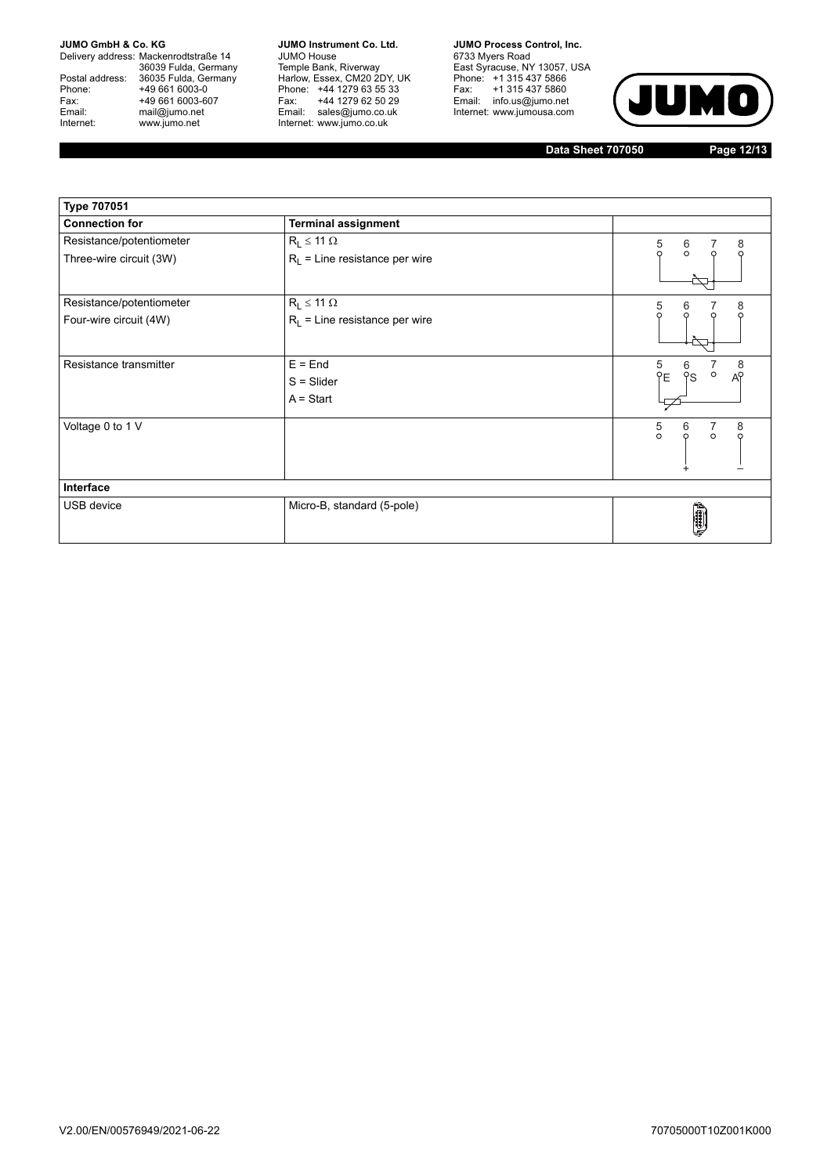Delivery address: Mackenrodtstraße 14 36039 Fulda, Germany<br>Postal address: 36035 Fulda, Germany Phone: +49 661 6003-0<br>
Fax: +49 661 6003-6<br>
Email: mail@jumo.net +49 661 6003-607 Email: mail@jumo.net<br>Internet: www.jumo.net www.jumo.net

**JUMO Instrument Co. Ltd.** JUMO House Temple Bank, Riverway<br>Harlow, Essex, CM20 2DY, UK<br>Phone: +44 1279 63 55 33 Fax: +44 1279 62 50 29<br>Email: sales@jumo.co.uk Internet: www.jumo.co.uk

**JUMO Process Control, Inc.** 6733 Myers Road East Syracuse, NY 13057, USA<br>Phone: +1 315 437 5866<br>Fax: +1 315 437 5860 Email: info.us@jumo.net Internet: www.jumousa.com



**Data Sheet 707050 Page 12/13**

| <b>Type 707051</b>       |                                  |                                                          |
|--------------------------|----------------------------------|----------------------------------------------------------|
| <b>Connection for</b>    | <b>Terminal assignment</b>       |                                                          |
| Resistance/potentiometer | $R_L \leq 11 \Omega$             | $\frac{5}{0}$<br>8<br>$\frac{6}{0}$                      |
| Three-wire circuit (3W)  | $R_L$ = Line resistance per wire | Ω                                                        |
| Resistance/potentiometer | $R_L \leq 11 \Omega$             | 5<br>8<br>6                                              |
| Four-wire circuit (4W)   | $R_L$ = Line resistance per wire | $\Omega$                                                 |
| Resistance transmitter   | $E =$ End                        | 5<br>YE<br>6<br>8<br>$\circ$                             |
|                          | $S = S$ lider                    | <b>PS</b><br>A <sup>o</sup>                              |
|                          | $A = Start$                      |                                                          |
| Voltage 0 to 1 V         |                                  | $\frac{5}{\circ}$<br>$\frac{7}{6}$<br>8<br>$\frac{6}{0}$ |
| Interface                |                                  |                                                          |
| USB device               | Micro-B, standard (5-pole)       | $\left(\frac{1}{\sqrt{2}}\right)$                        |